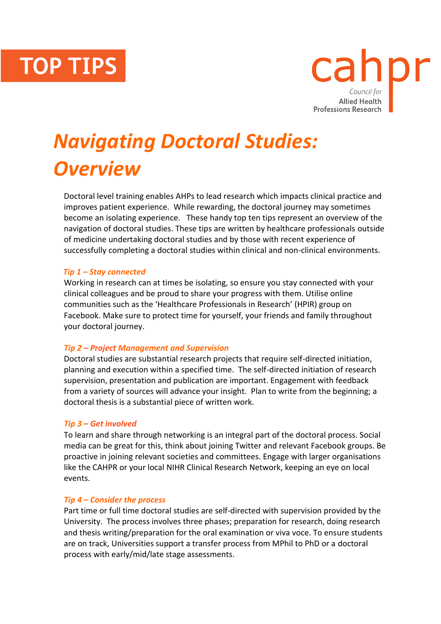



# *Navigating Doctoral Studies: Overview*

Doctoral level training enables AHPs to lead research which impacts clinical practice and improves patient experience. While rewarding, the doctoral journey may sometimes become an isolating experience. These handy top ten tips represent an overview of the navigation of doctoral studies. These tips are written by healthcare professionals outside of medicine undertaking doctoral studies and by those with recent experience of successfully completing a doctoral studies within clinical and non-clinical environments.

# *Tip 1 – Stay connected*

Working in research can at times be isolating, so ensure you stay connected with your clinical colleagues and be proud to share your progress with them. Utilise online communities such as the 'Healthcare Professionals in Research' (HPIR) group on Facebook. Make sure to protect time for yourself, your friends and family throughout your doctoral journey.

## *Tip 2 – Project Management and Supervision*

Doctoral studies are substantial research projects that require self-directed initiation, planning and execution within a specified time. The self-directed initiation of research supervision, presentation and publication are important. Engagement with feedback from a variety of sources will advance your insight. Plan to write from the beginning; a doctoral thesis is a substantial piece of written work.

## *Tip 3 – Get involved*

To learn and share through networking is an integral part of the doctoral process. Social media can be great for this, think about joining Twitter and relevant Facebook groups. Be proactive in joining relevant societies and committees. Engage with larger organisations like the CAHPR or your local NIHR Clinical Research Network, keeping an eye on local events.

## *Tip 4 – Consider the process*

Part time or full time doctoral studies are self-directed with supervision provided by the University. The process involves three phases; preparation for research, doing research and thesis writing/preparation for the oral examination or viva voce. To ensure students are on track, Universities support a transfer process from MPhil to PhD or a doctoral process with early/mid/late stage assessments.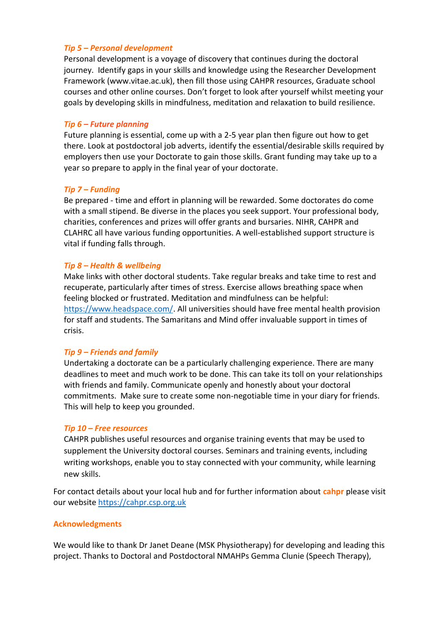# *Tip 5 – Personal development*

Personal development is a voyage of discovery that continues during the doctoral journey. Identify gaps in your skills and knowledge using the Researcher Development Framework (www.vitae.ac.uk), then fill those using CAHPR resources, Graduate school courses and other online courses. Don't forget to look after yourself whilst meeting your goals by developing skills in mindfulness, meditation and relaxation to build resilience.

# *Tip 6 – Future planning*

Future planning is essential, come up with a 2-5 year plan then figure out how to get there. Look at postdoctoral job adverts, identify the essential/desirable skills required by employers then use your Doctorate to gain those skills. Grant funding may take up to a year so prepare to apply in the final year of your doctorate.

# *Tip 7 – Funding*

Be prepared - time and effort in planning will be rewarded. Some doctorates do come with a small stipend. Be diverse in the places you seek support. Your professional body, charities, conferences and prizes will offer grants and bursaries. NIHR, CAHPR and CLAHRC all have various funding opportunities. A well-established support structure is vital if funding falls through.

# *Tip 8 – Health & wellbeing*

Make links with other doctoral students. Take regular breaks and take time to rest and recuperate, particularly after times of stress. Exercise allows breathing space when feeling blocked or frustrated. Meditation and mindfulness can be helpful: [https://www.headspace.com/.](https://www.headspace.com/) All universities should have free mental health provision for staff and students. The Samaritans and Mind offer invaluable support in times of crisis.

## *Tip 9 – Friends and family*

Undertaking a doctorate can be a particularly challenging experience. There are many deadlines to meet and much work to be done. This can take its toll on your relationships with friends and family. Communicate openly and honestly about your doctoral commitments. Make sure to create some non-negotiable time in your diary for friends. This will help to keep you grounded.

## *Tip 10 – Free resources*

CAHPR publishes useful resources and organise training events that may be used to supplement the University doctoral courses. Seminars and training events, including writing workshops, enable you to stay connected with your community, while learning new skills.

For contact details about your local hub and for further information about **cahpr** please visit our website [https://cahpr.csp.org.uk](https://cahpr.csp.org.uk/) 

## **Acknowledgments**

We would like to thank Dr Janet Deane (MSK Physiotherapy) for developing and leading this project. Thanks to Doctoral and Postdoctoral NMAHPs Gemma Clunie (Speech Therapy),